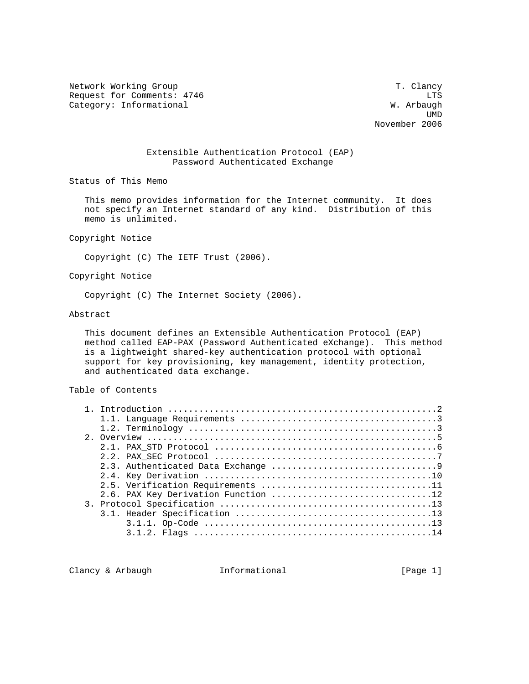Network Working Group T. Clancy Request for Comments: 4746 LTS Category: Informational W. Arbaugh

 UMD November 2006

# Extensible Authentication Protocol (EAP) Password Authenticated Exchange

Status of This Memo

 This memo provides information for the Internet community. It does not specify an Internet standard of any kind. Distribution of this memo is unlimited.

Copyright Notice

Copyright (C) The IETF Trust (2006).

Copyright Notice

Copyright (C) The Internet Society (2006).

## Abstract

 This document defines an Extensible Authentication Protocol (EAP) method called EAP-PAX (Password Authenticated eXchange). This method is a lightweight shared-key authentication protocol with optional support for key provisioning, key management, identity protection, and authenticated data exchange.

# Table of Contents

| 2.6. PAX Key Derivation Function 12 |
|-------------------------------------|
|                                     |
|                                     |
|                                     |
|                                     |

Clancy & Arbaugh Theormational (Page 1)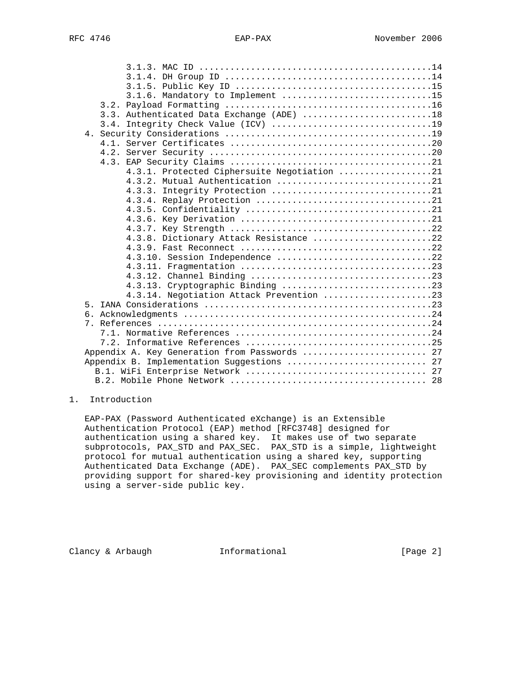| 3.1.6. Mandatory to Implement 15              |  |  |  |  |  |
|-----------------------------------------------|--|--|--|--|--|
|                                               |  |  |  |  |  |
| 3.3. Authenticated Data Exchange (ADE) 18     |  |  |  |  |  |
|                                               |  |  |  |  |  |
|                                               |  |  |  |  |  |
|                                               |  |  |  |  |  |
|                                               |  |  |  |  |  |
|                                               |  |  |  |  |  |
| 4.3.1. Protected Ciphersuite Negotiation 21   |  |  |  |  |  |
| 4.3.2. Mutual Authentication 21               |  |  |  |  |  |
|                                               |  |  |  |  |  |
|                                               |  |  |  |  |  |
|                                               |  |  |  |  |  |
|                                               |  |  |  |  |  |
|                                               |  |  |  |  |  |
| 4.3.8. Dictionary Attack Resistance 22        |  |  |  |  |  |
|                                               |  |  |  |  |  |
| 4.3.10. Session Independence 22               |  |  |  |  |  |
|                                               |  |  |  |  |  |
|                                               |  |  |  |  |  |
|                                               |  |  |  |  |  |
| 4.3.14. Negotiation Attack Prevention 23      |  |  |  |  |  |
|                                               |  |  |  |  |  |
|                                               |  |  |  |  |  |
| $7_{\scriptscriptstyle{\ddots}}$              |  |  |  |  |  |
|                                               |  |  |  |  |  |
|                                               |  |  |  |  |  |
| Appendix A. Key Generation from Passwords  27 |  |  |  |  |  |
| Implementation Suggestions  27<br>Appendix B. |  |  |  |  |  |
|                                               |  |  |  |  |  |
|                                               |  |  |  |  |  |

# 1. Introduction

 EAP-PAX (Password Authenticated eXchange) is an Extensible Authentication Protocol (EAP) method [RFC3748] designed for authentication using a shared key. It makes use of two separate subprotocols, PAX\_STD and PAX\_SEC. PAX\_STD is a simple, lightweight protocol for mutual authentication using a shared key, supporting Authenticated Data Exchange (ADE). PAX\_SEC complements PAX\_STD by providing support for shared-key provisioning and identity protection using a server-side public key.

Clancy & Arbaugh Theormational (Page 2)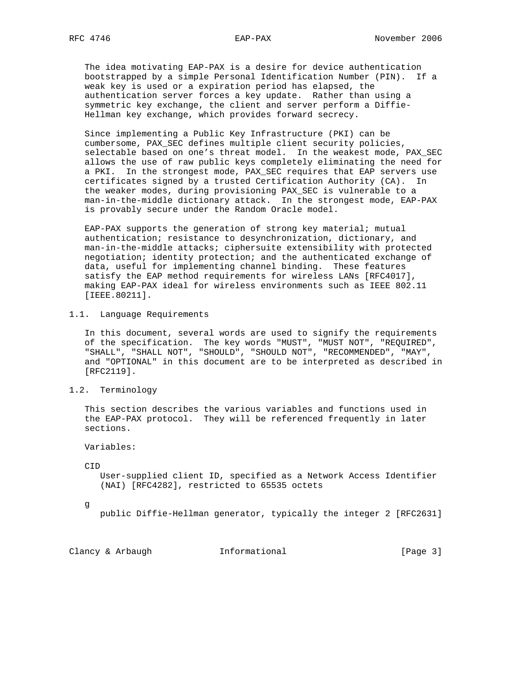The idea motivating EAP-PAX is a desire for device authentication bootstrapped by a simple Personal Identification Number (PIN). If a weak key is used or a expiration period has elapsed, the authentication server forces a key update. Rather than using a symmetric key exchange, the client and server perform a Diffie- Hellman key exchange, which provides forward secrecy.

 Since implementing a Public Key Infrastructure (PKI) can be cumbersome, PAX\_SEC defines multiple client security policies, selectable based on one's threat model. In the weakest mode, PAX\_SEC allows the use of raw public keys completely eliminating the need for a PKI. In the strongest mode, PAX\_SEC requires that EAP servers use certificates signed by a trusted Certification Authority (CA). In the weaker modes, during provisioning PAX\_SEC is vulnerable to a man-in-the-middle dictionary attack. In the strongest mode, EAP-PAX is provably secure under the Random Oracle model.

 EAP-PAX supports the generation of strong key material; mutual authentication; resistance to desynchronization, dictionary, and man-in-the-middle attacks; ciphersuite extensibility with protected negotiation; identity protection; and the authenticated exchange of data, useful for implementing channel binding. These features satisfy the EAP method requirements for wireless LANs [RFC4017], making EAP-PAX ideal for wireless environments such as IEEE 802.11 [IEEE.80211].

# 1.1. Language Requirements

 In this document, several words are used to signify the requirements of the specification. The key words "MUST", "MUST NOT", "REQUIRED", "SHALL", "SHALL NOT", "SHOULD", "SHOULD NOT", "RECOMMENDED", "MAY", and "OPTIONAL" in this document are to be interpreted as described in [RFC2119].

1.2. Terminology

 This section describes the various variables and functions used in the EAP-PAX protocol. They will be referenced frequently in later sections.

Variables:

 $CTD$ 

 User-supplied client ID, specified as a Network Access Identifier (NAI) [RFC4282], restricted to 65535 octets

g

public Diffie-Hellman generator, typically the integer 2 [RFC2631]

Clancy & Arbaugh Theormational [Page 3]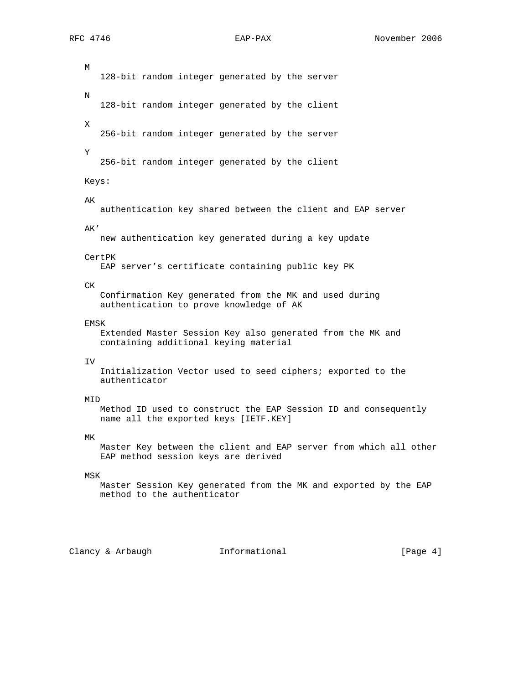M 128-bit random integer generated by the server N 128-bit random integer generated by the client X 256-bit random integer generated by the server Y 256-bit random integer generated by the client Keys: AK authentication key shared between the client and EAP server AK' new authentication key generated during a key update CertPK EAP server's certificate containing public key PK CK Confirmation Key generated from the MK and used during authentication to prove knowledge of AK EMSK Extended Master Session Key also generated from the MK and containing additional keying material IV Initialization Vector used to seed ciphers; exported to the authenticator MID Method ID used to construct the EAP Session ID and consequently name all the exported keys [IETF.KEY] MK Master Key between the client and EAP server from which all other EAP method session keys are derived MSK Master Session Key generated from the MK and exported by the EAP

Clancy & Arbaugh Theormational (Page 4)

method to the authenticator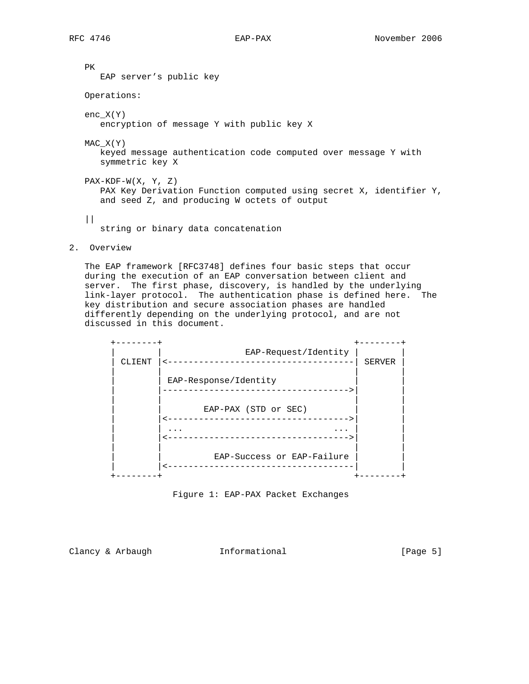PK EAP server's public key Operations: enc\_X(Y) encryption of message Y with public key X MAC\_X(Y) keyed message authentication code computed over message Y with symmetric key X PAX-KDF-W(X, Y, Z) PAX Key Derivation Function computed using secret X, identifier Y, and seed Z, and producing W octets of output  $||$ string or binary data concatenation

2. Overview

 The EAP framework [RFC3748] defines four basic steps that occur during the execution of an EAP conversation between client and server. The first phase, discovery, is handled by the underlying link-layer protocol. The authentication phase is defined here. The key distribution and secure association phases are handled differently depending on the underlying protocol, and are not discussed in this document.





Clancy & Arbaugh Tnformational (Page 5)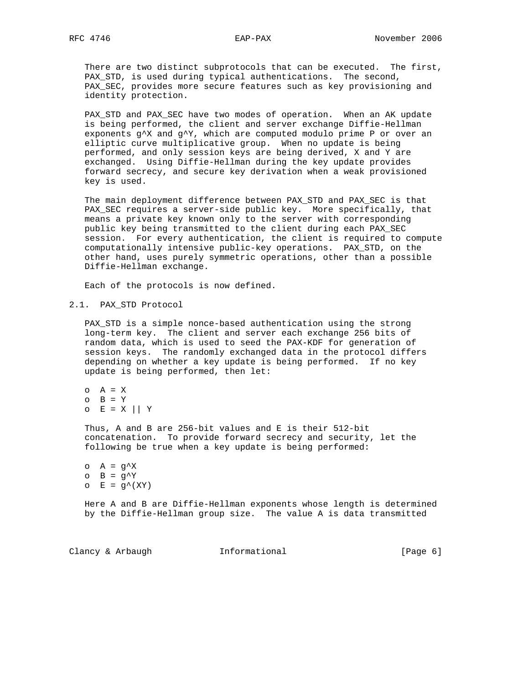There are two distinct subprotocols that can be executed. The first, PAX\_STD, is used during typical authentications. The second, PAX\_SEC, provides more secure features such as key provisioning and identity protection.

 PAX\_STD and PAX\_SEC have two modes of operation. When an AK update is being performed, the client and server exchange Diffie-Hellman exponents g^X and g^Y, which are computed modulo prime P or over an elliptic curve multiplicative group. When no update is being performed, and only session keys are being derived, X and Y are exchanged. Using Diffie-Hellman during the key update provides forward secrecy, and secure key derivation when a weak provisioned key is used.

 The main deployment difference between PAX\_STD and PAX\_SEC is that PAX\_SEC requires a server-side public key. More specifically, that means a private key known only to the server with corresponding public key being transmitted to the client during each PAX\_SEC session. For every authentication, the client is required to compute computationally intensive public-key operations. PAX\_STD, on the other hand, uses purely symmetric operations, other than a possible Diffie-Hellman exchange.

Each of the protocols is now defined.

## 2.1. PAX\_STD Protocol

PAX STD is a simple nonce-based authentication using the strong long-term key. The client and server each exchange 256 bits of random data, which is used to seed the PAX-KDF for generation of session keys. The randomly exchanged data in the protocol differs depending on whether a key update is being performed. If no key update is being performed, then let:

 $O$   $A = X$  $O$  B = Y  $O$   $E = X \mid Y$ 

 Thus, A and B are 256-bit values and E is their 512-bit concatenation. To provide forward secrecy and security, let the following be true when a key update is being performed:

```
o A = g^Xo B = g^{\wedge}Yo E = g^*(XY)
```
 Here A and B are Diffie-Hellman exponents whose length is determined by the Diffie-Hellman group size. The value A is data transmitted

Clancy & Arbaugh Theormational (Page 6)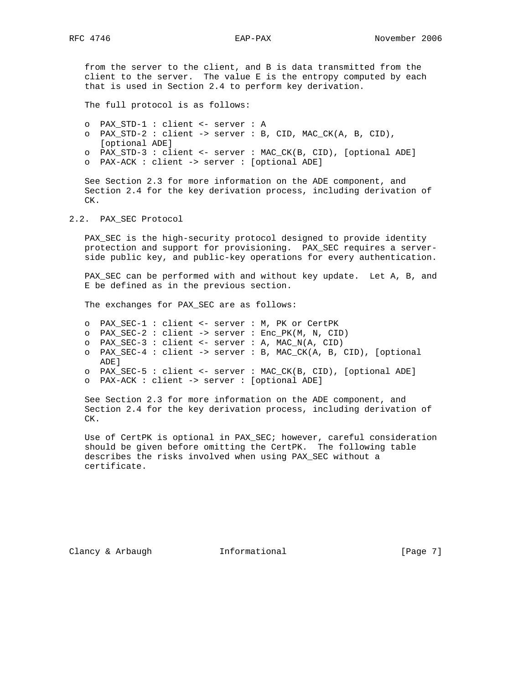from the server to the client, and B is data transmitted from the client to the server. The value E is the entropy computed by each that is used in Section 2.4 to perform key derivation.

The full protocol is as follows:

 o PAX\_STD-1 : client <- server : A o PAX\_STD-2 : client -> server : B, CID, MAC\_CK(A, B, CID), [optional ADE] o PAX\_STD-3 : client <- server : MAC\_CK(B, CID), [optional ADE] o PAX-ACK : client -> server : [optional ADE]

 See Section 2.3 for more information on the ADE component, and Section 2.4 for the key derivation process, including derivation of CK.

#### 2.2. PAX\_SEC Protocol

 PAX\_SEC is the high-security protocol designed to provide identity protection and support for provisioning. PAX\_SEC requires a server side public key, and public-key operations for every authentication.

PAX\_SEC can be performed with and without key update. Let A, B, and E be defined as in the previous section.

The exchanges for PAX\_SEC are as follows:

- o PAX\_SEC-1 : client <- server : M, PK or CertPK
- o PAX\_SEC-2 : client -> server : Enc\_PK(M, N, CID)
- o PAX\_SEC-3 : client <- server : A, MAC\_N(A, CID)
- o PAX\_SEC-4 : client -> server : B, MAC\_CK(A, B, CID), [optional ADE]
- o PAX\_SEC-5 : client <- server : MAC\_CK(B, CID), [optional ADE]

o PAX-ACK : client -> server : [optional ADE]

 See Section 2.3 for more information on the ADE component, and Section 2.4 for the key derivation process, including derivation of CK.

Use of CertPK is optional in PAX SEC; however, careful consideration should be given before omitting the CertPK. The following table describes the risks involved when using PAX\_SEC without a certificate.

Clancy & Arbaugh Theormational (Page 7)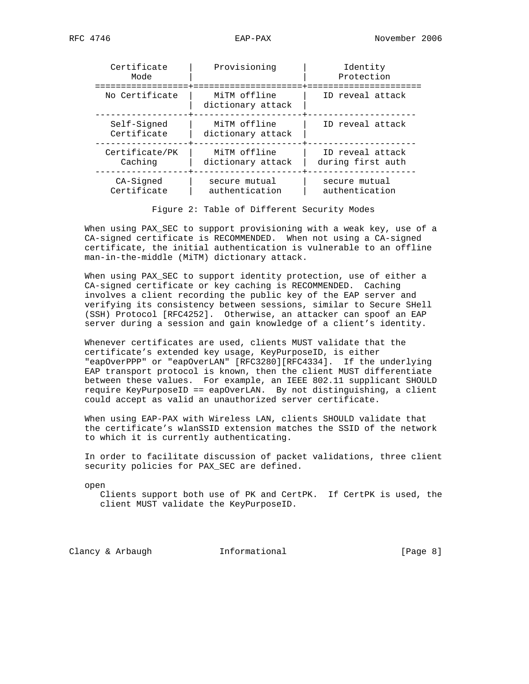| Certificate<br>Mode        | Provisioning                      | Identity<br>Protection                |
|----------------------------|-----------------------------------|---------------------------------------|
| No Certificate             | MiTM offline<br>dictionary attack | ID reveal attack                      |
| Self-Signed<br>Certificate | MiTM offline<br>dictionary attack | ID reveal attack                      |
| Certificate/PK<br>Caching  | MiTM offline<br>dictionary attack | ID reveal attack<br>during first auth |
| $CA-Sigma$<br>Certificate  | secure mutual<br>authentication   | secure mutual<br>authentication       |

Figure 2: Table of Different Security Modes

 When using PAX\_SEC to support provisioning with a weak key, use of a CA-signed certificate is RECOMMENDED. When not using a CA-signed certificate, the initial authentication is vulnerable to an offline man-in-the-middle (MiTM) dictionary attack.

 When using PAX\_SEC to support identity protection, use of either a CA-signed certificate or key caching is RECOMMENDED. Caching involves a client recording the public key of the EAP server and verifying its consistency between sessions, similar to Secure SHell (SSH) Protocol [RFC4252]. Otherwise, an attacker can spoof an EAP server during a session and gain knowledge of a client's identity.

 Whenever certificates are used, clients MUST validate that the certificate's extended key usage, KeyPurposeID, is either "eapOverPPP" or "eapOverLAN" [RFC3280][RFC4334]. If the underlying EAP transport protocol is known, then the client MUST differentiate between these values. For example, an IEEE 802.11 supplicant SHOULD require KeyPurposeID == eapOverLAN. By not distinguishing, a client could accept as valid an unauthorized server certificate.

 When using EAP-PAX with Wireless LAN, clients SHOULD validate that the certificate's wlanSSID extension matches the SSID of the network to which it is currently authenticating.

 In order to facilitate discussion of packet validations, three client security policies for PAX\_SEC are defined.

open

 Clients support both use of PK and CertPK. If CertPK is used, the client MUST validate the KeyPurposeID.

Clancy & Arbaugh Theormational (Page 8)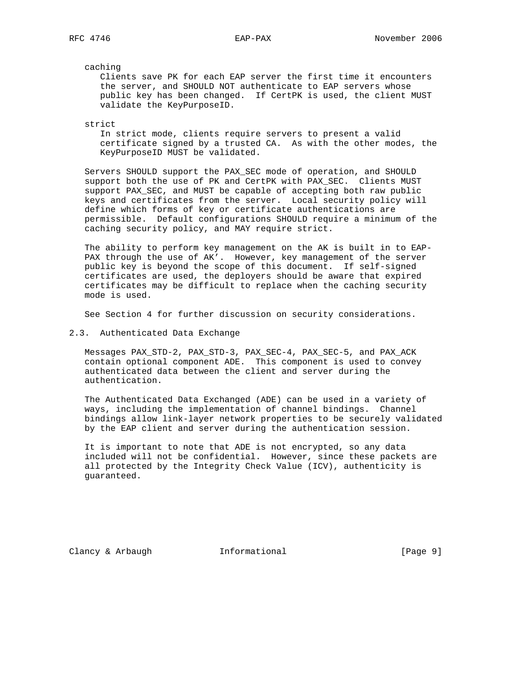caching

 Clients save PK for each EAP server the first time it encounters the server, and SHOULD NOT authenticate to EAP servers whose public key has been changed. If CertPK is used, the client MUST validate the KeyPurposeID.

strict

 In strict mode, clients require servers to present a valid certificate signed by a trusted CA. As with the other modes, the KeyPurposeID MUST be validated.

 Servers SHOULD support the PAX\_SEC mode of operation, and SHOULD support both the use of PK and CertPK with PAX SEC. Clients MUST support PAX\_SEC, and MUST be capable of accepting both raw public keys and certificates from the server. Local security policy will define which forms of key or certificate authentications are permissible. Default configurations SHOULD require a minimum of the caching security policy, and MAY require strict.

 The ability to perform key management on the AK is built in to EAP- PAX through the use of AK'. However, key management of the server public key is beyond the scope of this document. If self-signed certificates are used, the deployers should be aware that expired certificates may be difficult to replace when the caching security mode is used.

See Section 4 for further discussion on security considerations.

2.3. Authenticated Data Exchange

 Messages PAX\_STD-2, PAX\_STD-3, PAX\_SEC-4, PAX\_SEC-5, and PAX\_ACK contain optional component ADE. This component is used to convey authenticated data between the client and server during the authentication.

 The Authenticated Data Exchanged (ADE) can be used in a variety of ways, including the implementation of channel bindings. Channel bindings allow link-layer network properties to be securely validated by the EAP client and server during the authentication session.

 It is important to note that ADE is not encrypted, so any data included will not be confidential. However, since these packets are all protected by the Integrity Check Value (ICV), authenticity is guaranteed.

Clancy & Arbaugh **Informational** [Page 9]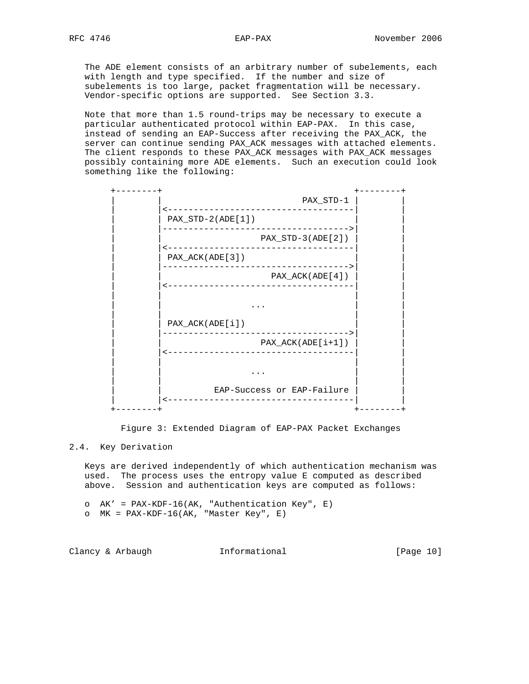The ADE element consists of an arbitrary number of subelements, each with length and type specified. If the number and size of subelements is too large, packet fragmentation will be necessary. Vendor-specific options are supported. See Section 3.3.

 Note that more than 1.5 round-trips may be necessary to execute a particular authenticated protocol within EAP-PAX. In this case, instead of sending an EAP-Success after receiving the PAX\_ACK, the server can continue sending PAX\_ACK messages with attached elements. The client responds to these PAX\_ACK messages with PAX\_ACK messages possibly containing more ADE elements. Such an execution could look something like the following:

|                                                | PAX_STD-1           |
|------------------------------------------------|---------------------|
| $PAX_STD-2(ADE[1])$                            | <u>___________</u>  |
|                                                | $PAX_STD-3(ADE[2])$ |
| PAX_ACK(ADE[3])                                |                     |
| --------------<br><u>u u u u u u u u u u .</u> | PAX_ACK(ADE[4])     |
|                                                |                     |
|                                                |                     |
| PAX_ACK(ADE[i])                                |                     |
|                                                | $PAX_ACK(ADE[i+1])$ |
| <u> - - - - - - - - - - - - -</u>              |                     |
|                                                |                     |
| EAP-Success or EAP-Failure                     |                     |
|                                                |                     |

Figure 3: Extended Diagram of EAP-PAX Packet Exchanges

## 2.4. Key Derivation

 Keys are derived independently of which authentication mechanism was used. The process uses the entropy value E computed as described above. Session and authentication keys are computed as follows:

 o AK' = PAX-KDF-16(AK, "Authentication Key", E) o MK = PAX-KDF-16(AK, "Master Key", E)

Clancy & Arbaugh **Informational** [Page 10]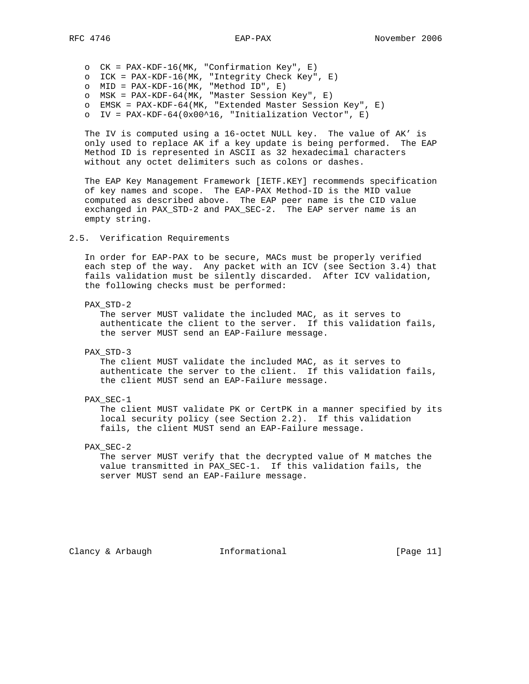o CK = PAX-KDF-16(MK, "Confirmation Key", E) o ICK = PAX-KDF-16(MK, "Integrity Check Key", E)  $O$  MID = PAX-KDF-16(MK, "Method ID", E) o MSK = PAX-KDF-64(MK, "Master Session Key", E) o EMSK = PAX-KDF-64(MK, "Extended Master Session Key", E) o IV = PAX-KDF-64(0x00^16, "Initialization Vector", E)

 The IV is computed using a 16-octet NULL key. The value of AK' is only used to replace AK if a key update is being performed. The EAP Method ID is represented in ASCII as 32 hexadecimal characters without any octet delimiters such as colons or dashes.

 The EAP Key Management Framework [IETF.KEY] recommends specification of key names and scope. The EAP-PAX Method-ID is the MID value computed as described above. The EAP peer name is the CID value exchanged in PAX\_STD-2 and PAX\_SEC-2. The EAP server name is an empty string.

## 2.5. Verification Requirements

 In order for EAP-PAX to be secure, MACs must be properly verified each step of the way. Any packet with an ICV (see Section 3.4) that fails validation must be silently discarded. After ICV validation, the following checks must be performed:

#### PAX\_STD-2

 The server MUST validate the included MAC, as it serves to authenticate the client to the server. If this validation fails, the server MUST send an EAP-Failure message.

## PAX\_STD-3

 The client MUST validate the included MAC, as it serves to authenticate the server to the client. If this validation fails, the client MUST send an EAP-Failure message.

#### PAX\_SEC-1

 The client MUST validate PK or CertPK in a manner specified by its local security policy (see Section 2.2). If this validation fails, the client MUST send an EAP-Failure message.

## PAX\_SEC-2

 The server MUST verify that the decrypted value of M matches the value transmitted in PAX\_SEC-1. If this validation fails, the server MUST send an EAP-Failure message.

Clancy & Arbaugh **Informational** [Page 11]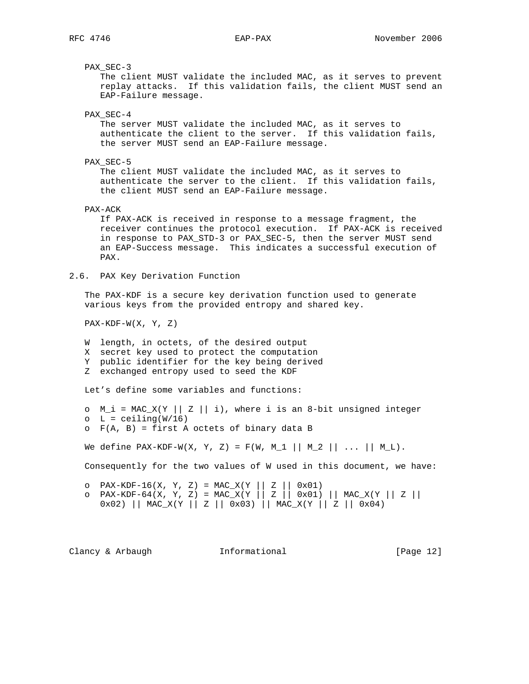PAX\_SEC-3

 The client MUST validate the included MAC, as it serves to prevent replay attacks. If this validation fails, the client MUST send an EAP-Failure message.

PAX\_SEC-4

 The server MUST validate the included MAC, as it serves to authenticate the client to the server. If this validation fails, the server MUST send an EAP-Failure message.

PAX\_SEC-5

 The client MUST validate the included MAC, as it serves to authenticate the server to the client. If this validation fails, the client MUST send an EAP-Failure message.

PAX-ACK

 If PAX-ACK is received in response to a message fragment, the receiver continues the protocol execution. If PAX-ACK is received in response to PAX\_STD-3 or PAX\_SEC-5, then the server MUST send an EAP-Success message. This indicates a successful execution of PAX.

2.6. PAX Key Derivation Function

 The PAX-KDF is a secure key derivation function used to generate various keys from the provided entropy and shared key.

 $PAX-KDF-W(X, Y, Z)$ 

W length, in octets, of the desired output

X secret key used to protect the computation

Y public identifier for the key being derived

Z exchanged entropy used to seed the KDF

Let's define some variables and functions:

```
\circ M_i = MAC_X(Y || Z || i), where i is an 8-bit unsigned integer
O L = ceiling(W/16)
o F(A, B) = first A octets of binary data B
```
We define PAX-KDF-W(X, Y, Z) = F(W, M\_1 || M\_2 || ... || M\_L).

Consequently for the two values of W used in this document, we have:

 o PAX-KDF-16(X, Y, Z) = MAC\_X(Y || Z || 0x01) o PAX-KDF-64(X, Y, Z) = MAC\_X(Y || Z || 0x01) || MAC\_X(Y || Z || 0x02) || MAC\_X(Y || Z || 0x03) || MAC\_X(Y || Z || 0x04)

Clancy & Arbaugh Theormational [Page 12]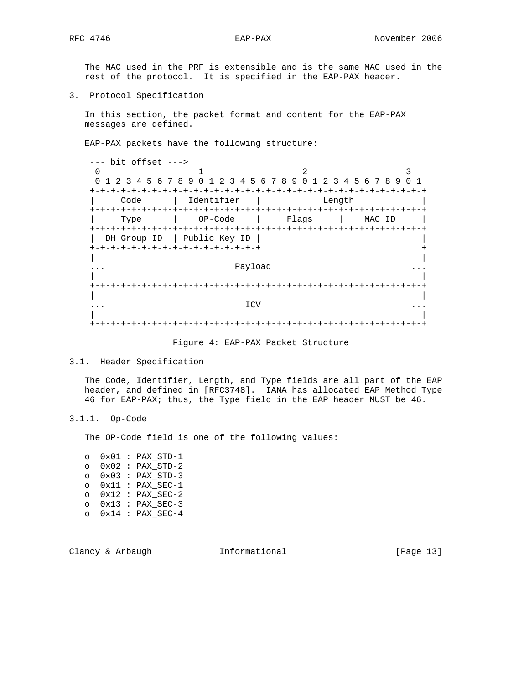The MAC used in the PRF is extensible and is the same MAC used in the rest of the protocol. It is specified in the EAP-PAX header.

3. Protocol Specification

 In this section, the packet format and content for the EAP-PAX messages are defined.

EAP-PAX packets have the following structure:

 --- bit offset ---> 0  $1$  2 3 0 1 2 3 4 5 6 7 8 9 0 1 2 3 4 5 6 7 8 9 0 1 2 3 4 5 6 7 8 9 0 1 +-+-+-+-+-+-+-+-+-+-+-+-+-+-+-+-+-+-+-+-+-+-+-+-+-+-+-+-+-+-+-+-+ | Code | Identifier | Length | +-+-+-+-+-+-+-+-+-+-+-+-+-+-+-+-+-+-+-+-+-+-+-+-+-+-+-+-+-+-+-+-+ | Type | OP-Code | Flags | MAC ID | +-+-+-+-+-+-+-+-+-+-+-+-+-+-+-+-+-+-+-+-+-+-+-+-+-+-+-+-+-+-+-+-+ | DH Group ID | Public Key ID | | +-+-+-+-+-+-+-+-+-+-+-+-+-+-+-+-+ + | | ... Payload ... | | +-+-+-+-+-+-+-+-+-+-+-+-+-+-+-+-+-+-+-+-+-+-+-+-+-+-+-+-+-+-+-+-+ | | ... ICV ... | | +-+-+-+-+-+-+-+-+-+-+-+-+-+-+-+-+-+-+-+-+-+-+-+-+-+-+-+-+-+-+-+-+

Figure 4: EAP-PAX Packet Structure

3.1. Header Specification

 The Code, Identifier, Length, and Type fields are all part of the EAP header, and defined in [RFC3748]. IANA has allocated EAP Method Type 46 for EAP-PAX; thus, the Type field in the EAP header MUST be 46.

3.1.1. Op-Code

The OP-Code field is one of the following values:

| $\circ$ |  | $0x01 : PAX STD-1$ |
|---------|--|--------------------|
| $\circ$ |  | $0x02$ : PAX STD-2 |
| $\circ$ |  | $0x03$ : PAX STD-3 |
| $\circ$ |  | $0x11 : PAX SEC-1$ |
| $\circ$ |  | $0x12$ : PAX SEC-2 |
| $\circ$ |  | $0x13$ : PAX SEC-3 |
| $\cap$  |  | $0x14$ : PAX SEC-4 |

Clancy & Arbaugh Tnformational (Page 13)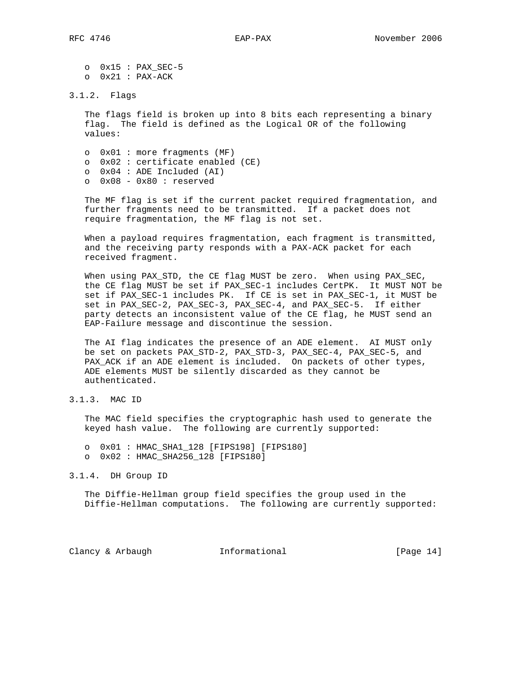o 0x15 : PAX\_SEC-5 o 0x21 : PAX-ACK

#### 3.1.2. Flags

 The flags field is broken up into 8 bits each representing a binary flag. The field is defined as the Logical OR of the following values:

 o 0x01 : more fragments (MF) o 0x02 : certificate enabled (CE) o 0x04 : ADE Included (AI) o 0x08 - 0x80 : reserved

 The MF flag is set if the current packet required fragmentation, and further fragments need to be transmitted. If a packet does not require fragmentation, the MF flag is not set.

 When a payload requires fragmentation, each fragment is transmitted, and the receiving party responds with a PAX-ACK packet for each received fragment.

 When using PAX\_STD, the CE flag MUST be zero. When using PAX\_SEC, the CE flag MUST be set if PAX\_SEC-1 includes CertPK. It MUST NOT be set if PAX\_SEC-1 includes PK. If CE is set in PAX\_SEC-1, it MUST be set in PAX\_SEC-2, PAX\_SEC-3, PAX\_SEC-4, and PAX\_SEC-5. If either party detects an inconsistent value of the CE flag, he MUST send an EAP-Failure message and discontinue the session.

 The AI flag indicates the presence of an ADE element. AI MUST only be set on packets PAX\_STD-2, PAX\_STD-3, PAX\_SEC-4, PAX\_SEC-5, and PAX\_ACK if an ADE element is included. On packets of other types, ADE elements MUST be silently discarded as they cannot be authenticated.

3.1.3. MAC ID

 The MAC field specifies the cryptographic hash used to generate the keyed hash value. The following are currently supported:

 o 0x01 : HMAC\_SHA1\_128 [FIPS198] [FIPS180] o 0x02 : HMAC\_SHA256\_128 [FIPS180]

3.1.4. DH Group ID

 The Diffie-Hellman group field specifies the group used in the Diffie-Hellman computations. The following are currently supported:

Clancy & Arbaugh Theormational [Page 14]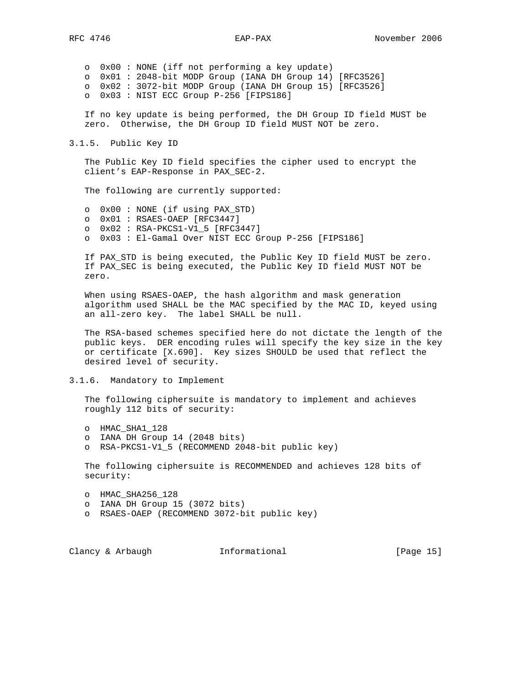o 0x00 : NONE (iff not performing a key update) o 0x01 : 2048-bit MODP Group (IANA DH Group 14) [RFC3526] o 0x02 : 3072-bit MODP Group (IANA DH Group 15) [RFC3526] o 0x03 : NIST ECC Group P-256 [FIPS186]

 If no key update is being performed, the DH Group ID field MUST be zero. Otherwise, the DH Group ID field MUST NOT be zero.

3.1.5. Public Key ID

 The Public Key ID field specifies the cipher used to encrypt the client's EAP-Response in PAX\_SEC-2.

The following are currently supported:

 o 0x00 : NONE (if using PAX\_STD) o 0x01 : RSAES-OAEP [RFC3447] o 0x02 : RSA-PKCS1-V1\_5 [RFC3447] o 0x03 : El-Gamal Over NIST ECC Group P-256 [FIPS186]

 If PAX\_STD is being executed, the Public Key ID field MUST be zero. If PAX\_SEC is being executed, the Public Key ID field MUST NOT be zero.

 When using RSAES-OAEP, the hash algorithm and mask generation algorithm used SHALL be the MAC specified by the MAC ID, keyed using an all-zero key. The label SHALL be null.

 The RSA-based schemes specified here do not dictate the length of the public keys. DER encoding rules will specify the key size in the key or certificate [X.690]. Key sizes SHOULD be used that reflect the desired level of security.

3.1.6. Mandatory to Implement

 The following ciphersuite is mandatory to implement and achieves roughly 112 bits of security:

o HMAC\_SHA1\_128

- o IANA DH Group 14 (2048 bits)
- o RSA-PKCS1-V1\_5 (RECOMMEND 2048-bit public key)

 The following ciphersuite is RECOMMENDED and achieves 128 bits of security:

o HMAC\_SHA256\_128

- o IANA DH Group 15 (3072 bits)
- o RSAES-OAEP (RECOMMEND 3072-bit public key)

Clancy & Arbaugh **Informational** [Page 15]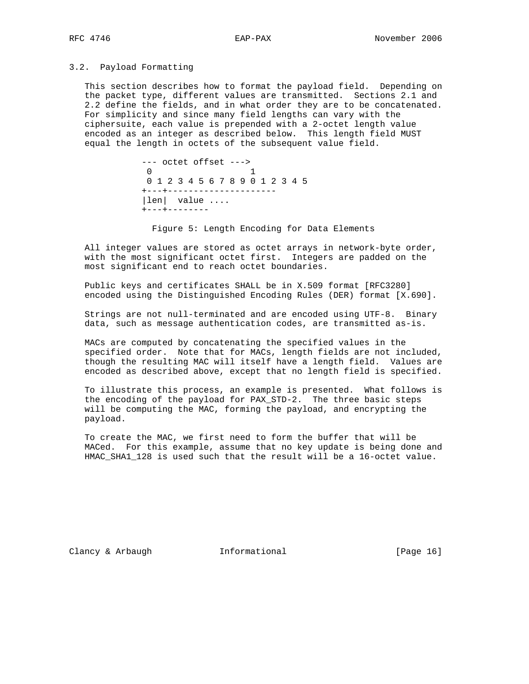## 3.2. Payload Formatting

 This section describes how to format the payload field. Depending on the packet type, different values are transmitted. Sections 2.1 and 2.2 define the fields, and in what order they are to be concatenated. For simplicity and since many field lengths can vary with the ciphersuite, each value is prepended with a 2-octet length value encoded as an integer as described below. This length field MUST equal the length in octets of the subsequent value field.

> --- octet offset --->  $\begin{array}{ccc} 0 & & 1 \end{array}$  0 1 2 3 4 5 6 7 8 9 0 1 2 3 4 5 +---+--------------------- |len| value .... +---+--------

Figure 5: Length Encoding for Data Elements

 All integer values are stored as octet arrays in network-byte order, with the most significant octet first. Integers are padded on the most significant end to reach octet boundaries.

 Public keys and certificates SHALL be in X.509 format [RFC3280] encoded using the Distinguished Encoding Rules (DER) format [X.690].

 Strings are not null-terminated and are encoded using UTF-8. Binary data, such as message authentication codes, are transmitted as-is.

 MACs are computed by concatenating the specified values in the specified order. Note that for MACs, length fields are not included, though the resulting MAC will itself have a length field. Values are encoded as described above, except that no length field is specified.

 To illustrate this process, an example is presented. What follows is the encoding of the payload for PAX\_STD-2. The three basic steps will be computing the MAC, forming the payload, and encrypting the payload.

 To create the MAC, we first need to form the buffer that will be MACed. For this example, assume that no key update is being done and HMAC\_SHA1\_128 is used such that the result will be a 16-octet value.

Clancy & Arbaugh **Informational** [Page 16]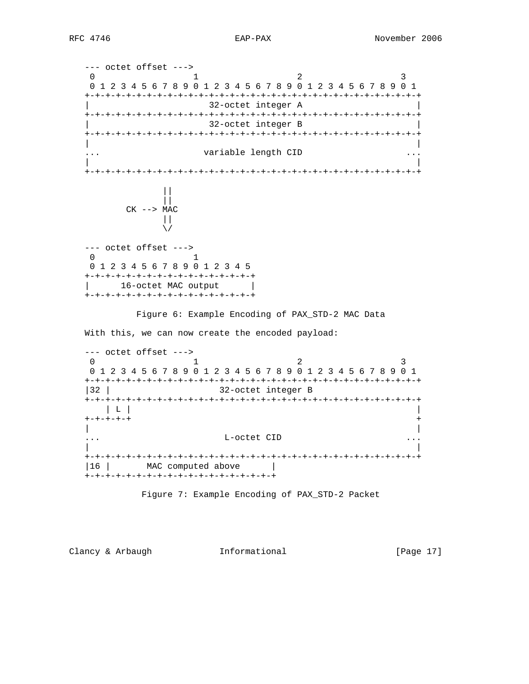--- octet offset ---> 0  $1$  2 3 0 1 2 3 4 5 6 7 8 9 0 1 2 3 4 5 6 7 8 9 0 1 2 3 4 5 6 7 8 9 0 1 +-+-+-+-+-+-+-+-+-+-+-+-+-+-+-+-+-+-+-+-+-+-+-+-+-+-+-+-+-+-+-+-+ | 32-octet integer A | +-+-+-+-+-+-+-+-+-+-+-+-+-+-+-+-+-+-+-+-+-+-+-+-+-+-+-+-+-+-+-+-+ 32-octet integer B +-+-+-+-+-+-+-+-+-+-+-+-+-+-+-+-+-+-+-+-+-+-+-+-+-+-+-+-+-+-+-+-+ | | ... variable length CID ... | | +-+-+-+-+-+-+-+-+-+-+-+-+-+-+-+-+-+-+-+-+-+-+-+-+-+-+-+-+-+-+-+-+ || ||  $CK$   $\leftarrow$  > MAC  $\|$  $\sqrt{2}$  --- octet offset --->  $\begin{array}{ccc} 0 & & 1 \end{array}$  0 1 2 3 4 5 6 7 8 9 0 1 2 3 4 5 +-+-+-+-+-+-+-+-+-+-+-+-+-+-+-+-+ | 16-octet MAC output | +-+-+-+-+-+-+-+-+-+-+-+-+-+-+-+-+ Figure 6: Example Encoding of PAX\_STD-2 MAC Data With this, we can now create the encoded payload: --- octet offset ---> 0  $1$  2 3 0 1 2 3 4 5 6 7 8 9 0 1 2 3 4 5 6 7 8 9 0 1 2 3 4 5 6 7 8 9 0 1 +-+-+-+-+-+-+-+-+-+-+-+-+-+-+-+-+-+-+-+-+-+-+-+-+-+-+-+-+-+-+-+-+ |32 | 32-octet integer B +-+-+-+-+-+-+-+-+-+-+-+-+-+-+-+-+-+-+-+-+-+-+-+-+-+-+-+-+-+-+-+-+ | L | | +-+-+-+-+ + | | ... L-octet CID ... | | +-+-+-+-+-+-+-+-+-+-+-+-+-+-+-+-+-+-+-+-+-+-+-+-+-+-+-+-+-+-+-+-+ |16 | MAC computed above | +-+-+-+-+-+-+-+-+-+-+-+-+-+-+-+-+-+-+

Figure 7: Example Encoding of PAX\_STD-2 Packet

Clancy & Arbaugh Theormational [Page 17]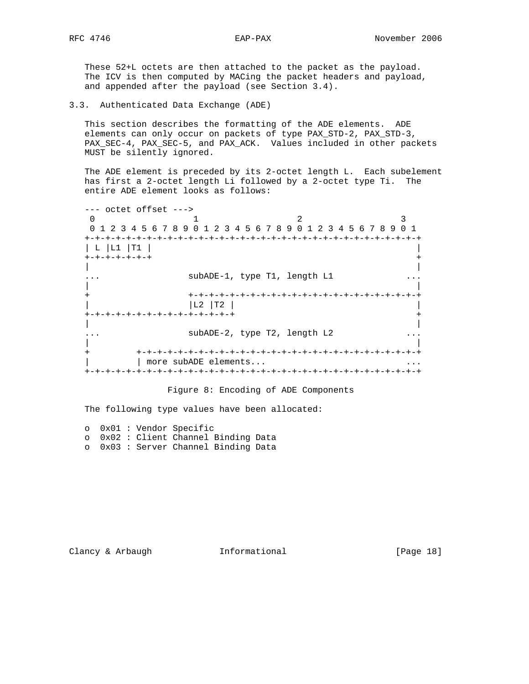These 52+L octets are then attached to the packet as the payload. The ICV is then computed by MACing the packet headers and payload, and appended after the payload (see Section 3.4).

3.3. Authenticated Data Exchange (ADE)

 This section describes the formatting of the ADE elements. ADE elements can only occur on packets of type PAX\_STD-2, PAX\_STD-3, PAX SEC-4, PAX\_SEC-5, and PAX\_ACK. Values included in other packets MUST be silently ignored.

 The ADE element is preceded by its 2-octet length L. Each subelement has first a 2-octet length Li followed by a 2-octet type Ti. The entire ADE element looks as follows:

 --- octet offset ---> 0  $1$  2 3 0 1 2 3 4 5 6 7 8 9 0 1 2 3 4 5 6 7 8 9 0 1 2 3 4 5 6 7 8 9 0 1 +-+-+-+-+-+-+-+-+-+-+-+-+-+-+-+-+-+-+-+-+-+-+-+-+-+-+-+-+-+-+-+-+ | L |L1 |T1 | | +-+-+-+-+-+-+ + | | subADE-1, type T1, length L1 | | + +-+-+-+-+-+-+-+-+-+-+-+-+-+-+-+-+-+-+-+-+-+-+ | |L2 |T2 | | +-+-+-+-+-+-+-+-+-+-+-+-+-+-+ + | | ... subADE-2, type T2, length L2 ... | | + +-+-+-+-+-+-+-+-+-+-+-+-+-+-+-+-+-+-+-+-+-+-+-+-+-+-+-+ | more subADE elements... +-+-+-+-+-+-+-+-+-+-+-+-+-+-+-+-+-+-+-+-+-+-+-+-+-+-+-+-+-+-+-+-+

Figure 8: Encoding of ADE Components

The following type values have been allocated:

 o 0x01 : Vendor Specific o 0x02 : Client Channel Binding Data o 0x03 : Server Channel Binding Data

Clancy & Arbaugh Tnformational [Page 18]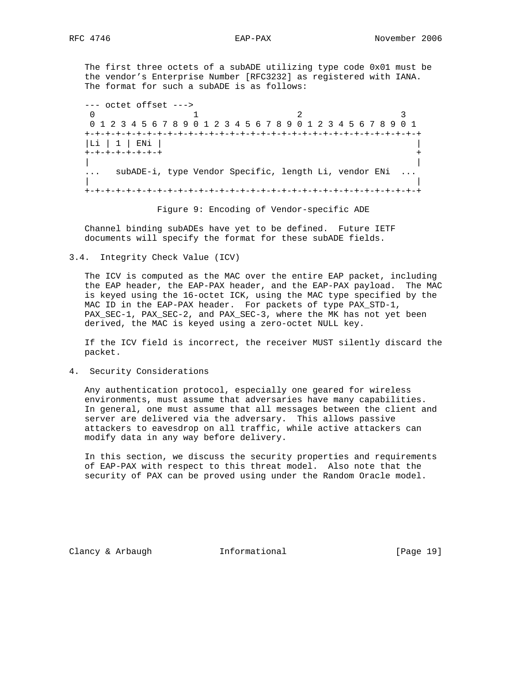The first three octets of a subADE utilizing type code 0x01 must be the vendor's Enterprise Number [RFC3232] as registered with IANA. The format for such a subADE is as follows:

 --- octet offset ---> 0 1 2 3 0 1 2 3 4 5 6 7 8 9 0 1 2 3 4 5 6 7 8 9 0 1 2 3 4 5 6 7 8 9 0 1 +-+-+-+-+-+-+-+-+-+-+-+-+-+-+-+-+-+-+-+-+-+-+-+-+-+-+-+-+-+-+-+-+ |Li | 1 | ENi | | +-+-+-+-+-+-+-+ + | | ... subADE-i, type Vendor Specific, length Li, vendor ENi ... | | +-+-+-+-+-+-+-+-+-+-+-+-+-+-+-+-+-+-+-+-+-+-+-+-+-+-+-+-+-+-+-+-+

Figure 9: Encoding of Vendor-specific ADE

 Channel binding subADEs have yet to be defined. Future IETF documents will specify the format for these subADE fields.

3.4. Integrity Check Value (ICV)

 The ICV is computed as the MAC over the entire EAP packet, including the EAP header, the EAP-PAX header, and the EAP-PAX payload. The MAC is keyed using the 16-octet ICK, using the MAC type specified by the MAC ID in the EAP-PAX header. For packets of type PAX\_STD-1, PAX\_SEC-1, PAX\_SEC-2, and PAX\_SEC-3, where the MK has not yet been derived, the MAC is keyed using a zero-octet NULL key.

 If the ICV field is incorrect, the receiver MUST silently discard the packet.

4. Security Considerations

 Any authentication protocol, especially one geared for wireless environments, must assume that adversaries have many capabilities. In general, one must assume that all messages between the client and server are delivered via the adversary. This allows passive attackers to eavesdrop on all traffic, while active attackers can modify data in any way before delivery.

 In this section, we discuss the security properties and requirements of EAP-PAX with respect to this threat model. Also note that the security of PAX can be proved using under the Random Oracle model.

Clancy & Arbaugh Informational [Page 19]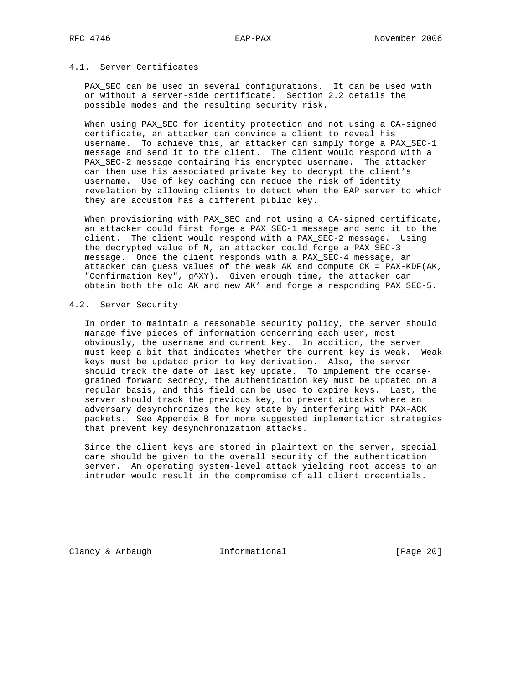# 4.1. Server Certificates

 PAX\_SEC can be used in several configurations. It can be used with or without a server-side certificate. Section 2.2 details the possible modes and the resulting security risk.

 When using PAX\_SEC for identity protection and not using a CA-signed certificate, an attacker can convince a client to reveal his username. To achieve this, an attacker can simply forge a PAX\_SEC-1 message and send it to the client. The client would respond with a PAX\_SEC-2 message containing his encrypted username. The attacker can then use his associated private key to decrypt the client's username. Use of key caching can reduce the risk of identity revelation by allowing clients to detect when the EAP server to which they are accustom has a different public key.

 When provisioning with PAX\_SEC and not using a CA-signed certificate, an attacker could first forge a PAX\_SEC-1 message and send it to the client. The client would respond with a PAX\_SEC-2 message. Using the decrypted value of N, an attacker could forge a PAX\_SEC-3 message. Once the client responds with a PAX\_SEC-4 message, an attacker can guess values of the weak AK and compute CK = PAX-KDF(AK, "Confirmation Key", g^XY). Given enough time, the attacker can obtain both the old AK and new AK' and forge a responding PAX\_SEC-5.

## 4.2. Server Security

 In order to maintain a reasonable security policy, the server should manage five pieces of information concerning each user, most obviously, the username and current key. In addition, the server must keep a bit that indicates whether the current key is weak. Weak keys must be updated prior to key derivation. Also, the server should track the date of last key update. To implement the coarse grained forward secrecy, the authentication key must be updated on a regular basis, and this field can be used to expire keys. Last, the server should track the previous key, to prevent attacks where an adversary desynchronizes the key state by interfering with PAX-ACK packets. See Appendix B for more suggested implementation strategies that prevent key desynchronization attacks.

 Since the client keys are stored in plaintext on the server, special care should be given to the overall security of the authentication server. An operating system-level attack yielding root access to an intruder would result in the compromise of all client credentials.

Clancy & Arbaugh Theormational [Page 20]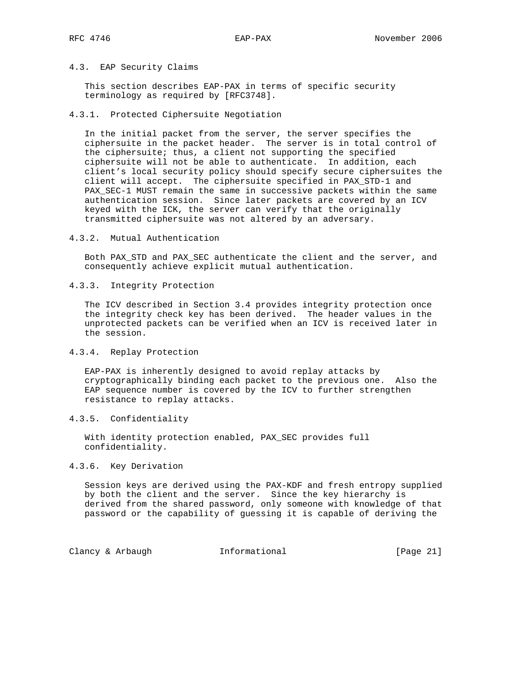## 4.3. EAP Security Claims

 This section describes EAP-PAX in terms of specific security terminology as required by [RFC3748].

4.3.1. Protected Ciphersuite Negotiation

 In the initial packet from the server, the server specifies the ciphersuite in the packet header. The server is in total control of the ciphersuite; thus, a client not supporting the specified ciphersuite will not be able to authenticate. In addition, each client's local security policy should specify secure ciphersuites the client will accept. The ciphersuite specified in PAX\_STD-1 and PAX\_SEC-1 MUST remain the same in successive packets within the same authentication session. Since later packets are covered by an ICV keyed with the ICK, the server can verify that the originally transmitted ciphersuite was not altered by an adversary.

4.3.2. Mutual Authentication

 Both PAX\_STD and PAX\_SEC authenticate the client and the server, and consequently achieve explicit mutual authentication.

4.3.3. Integrity Protection

 The ICV described in Section 3.4 provides integrity protection once the integrity check key has been derived. The header values in the unprotected packets can be verified when an ICV is received later in the session.

4.3.4. Replay Protection

 EAP-PAX is inherently designed to avoid replay attacks by cryptographically binding each packet to the previous one. Also the EAP sequence number is covered by the ICV to further strengthen resistance to replay attacks.

4.3.5. Confidentiality

 With identity protection enabled, PAX\_SEC provides full confidentiality.

## 4.3.6. Key Derivation

 Session keys are derived using the PAX-KDF and fresh entropy supplied by both the client and the server. Since the key hierarchy is derived from the shared password, only someone with knowledge of that password or the capability of guessing it is capable of deriving the

Clancy & Arbaugh Theormational [Page 21]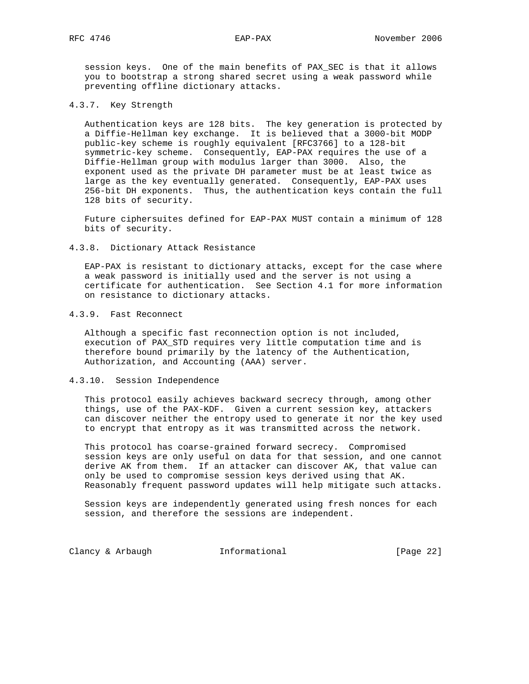session keys. One of the main benefits of PAX\_SEC is that it allows you to bootstrap a strong shared secret using a weak password while preventing offline dictionary attacks.

#### 4.3.7. Key Strength

 Authentication keys are 128 bits. The key generation is protected by a Diffie-Hellman key exchange. It is believed that a 3000-bit MODP public-key scheme is roughly equivalent [RFC3766] to a 128-bit symmetric-key scheme. Consequently, EAP-PAX requires the use of a Diffie-Hellman group with modulus larger than 3000. Also, the exponent used as the private DH parameter must be at least twice as large as the key eventually generated. Consequently, EAP-PAX uses 256-bit DH exponents. Thus, the authentication keys contain the full 128 bits of security.

 Future ciphersuites defined for EAP-PAX MUST contain a minimum of 128 bits of security.

#### 4.3.8. Dictionary Attack Resistance

 EAP-PAX is resistant to dictionary attacks, except for the case where a weak password is initially used and the server is not using a certificate for authentication. See Section 4.1 for more information on resistance to dictionary attacks.

# 4.3.9. Fast Reconnect

 Although a specific fast reconnection option is not included, execution of PAX\_STD requires very little computation time and is therefore bound primarily by the latency of the Authentication, Authorization, and Accounting (AAA) server.

## 4.3.10. Session Independence

 This protocol easily achieves backward secrecy through, among other things, use of the PAX-KDF. Given a current session key, attackers can discover neither the entropy used to generate it nor the key used to encrypt that entropy as it was transmitted across the network.

 This protocol has coarse-grained forward secrecy. Compromised session keys are only useful on data for that session, and one cannot derive AK from them. If an attacker can discover AK, that value can only be used to compromise session keys derived using that AK. Reasonably frequent password updates will help mitigate such attacks.

 Session keys are independently generated using fresh nonces for each session, and therefore the sessions are independent.

Clancy & Arbaugh Theormational [Page 22]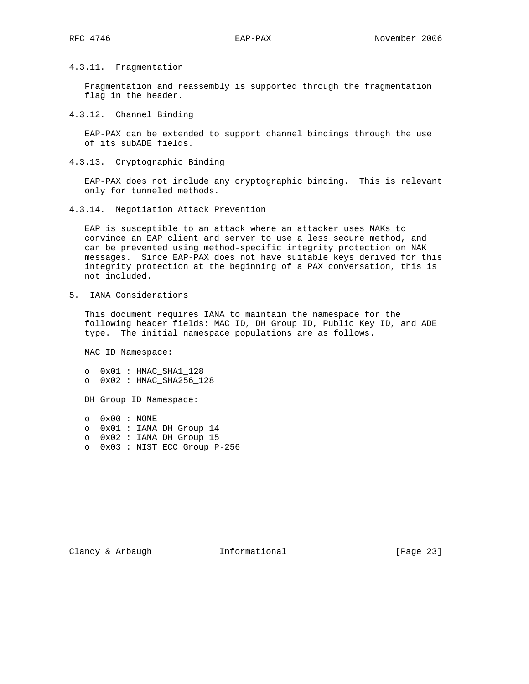# 4.3.11. Fragmentation

 Fragmentation and reassembly is supported through the fragmentation flag in the header.

#### 4.3.12. Channel Binding

 EAP-PAX can be extended to support channel bindings through the use of its subADE fields.

4.3.13. Cryptographic Binding

 EAP-PAX does not include any cryptographic binding. This is relevant only for tunneled methods.

4.3.14. Negotiation Attack Prevention

 EAP is susceptible to an attack where an attacker uses NAKs to convince an EAP client and server to use a less secure method, and can be prevented using method-specific integrity protection on NAK messages. Since EAP-PAX does not have suitable keys derived for this integrity protection at the beginning of a PAX conversation, this is not included.

5. IANA Considerations

 This document requires IANA to maintain the namespace for the following header fields: MAC ID, DH Group ID, Public Key ID, and ADE type. The initial namespace populations are as follows.

MAC ID Namespace:

 o 0x01 : HMAC\_SHA1\_128 o 0x02 : HMAC\_SHA256\_128

DH Group ID Namespace:

 o 0x00 : NONE o 0x01 : IANA DH Group 14 o 0x02 : IANA DH Group 15 o 0x03 : NIST ECC Group P-256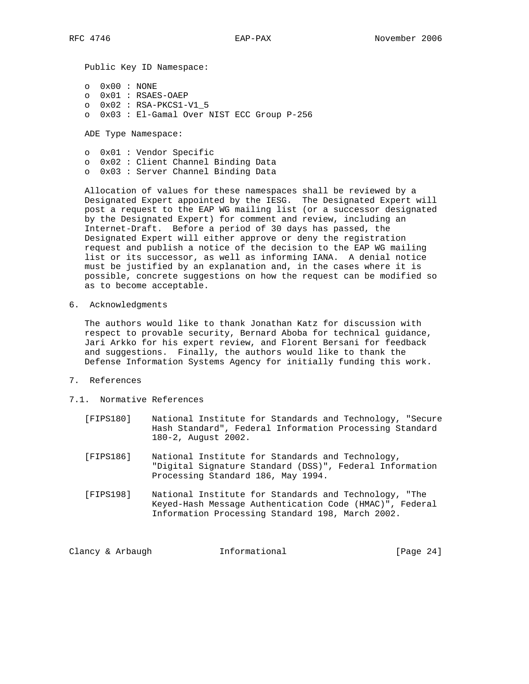Public Key ID Namespace:

 o 0x00 : NONE o 0x01 : RSAES-OAEP o 0x02 : RSA-PKCS1-V1\_5 o 0x03 : El-Gamal Over NIST ECC Group P-256

ADE Type Namespace:

 o 0x01 : Vendor Specific o 0x02 : Client Channel Binding Data o 0x03 : Server Channel Binding Data

 Allocation of values for these namespaces shall be reviewed by a Designated Expert appointed by the IESG. The Designated Expert will post a request to the EAP WG mailing list (or a successor designated by the Designated Expert) for comment and review, including an Internet-Draft. Before a period of 30 days has passed, the Designated Expert will either approve or deny the registration request and publish a notice of the decision to the EAP WG mailing list or its successor, as well as informing IANA. A denial notice must be justified by an explanation and, in the cases where it is possible, concrete suggestions on how the request can be modified so as to become acceptable.

6. Acknowledgments

 The authors would like to thank Jonathan Katz for discussion with respect to provable security, Bernard Aboba for technical guidance, Jari Arkko for his expert review, and Florent Bersani for feedback and suggestions. Finally, the authors would like to thank the Defense Information Systems Agency for initially funding this work.

- 7. References
- 7.1. Normative References
	- [FIPS180] National Institute for Standards and Technology, "Secure Hash Standard", Federal Information Processing Standard 180-2, August 2002.
	- [FIPS186] National Institute for Standards and Technology, "Digital Signature Standard (DSS)", Federal Information Processing Standard 186, May 1994.
	- [FIPS198] National Institute for Standards and Technology, "The Keyed-Hash Message Authentication Code (HMAC)", Federal Information Processing Standard 198, March 2002.

Clancy & Arbaugh Theormational [Page 24]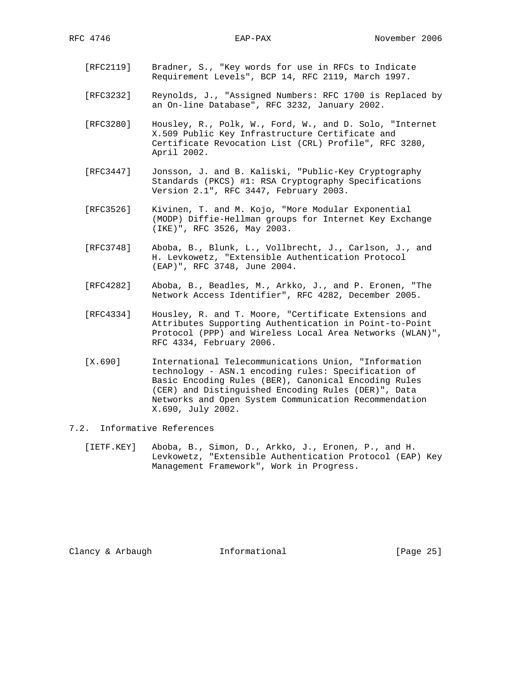- [RFC2119] Bradner, S., "Key words for use in RFCs to Indicate Requirement Levels", BCP 14, RFC 2119, March 1997.
- [RFC3232] Reynolds, J., "Assigned Numbers: RFC 1700 is Replaced by an On-line Database", RFC 3232, January 2002.
- [RFC3280] Housley, R., Polk, W., Ford, W., and D. Solo, "Internet X.509 Public Key Infrastructure Certificate and Certificate Revocation List (CRL) Profile", RFC 3280, April 2002.
- [RFC3447] Jonsson, J. and B. Kaliski, "Public-Key Cryptography Standards (PKCS) #1: RSA Cryptography Specifications Version 2.1", RFC 3447, February 2003.
- [RFC3526] Kivinen, T. and M. Kojo, "More Modular Exponential (MODP) Diffie-Hellman groups for Internet Key Exchange (IKE)", RFC 3526, May 2003.
- [RFC3748] Aboba, B., Blunk, L., Vollbrecht, J., Carlson, J., and H. Levkowetz, "Extensible Authentication Protocol (EAP)", RFC 3748, June 2004.
- [RFC4282] Aboba, B., Beadles, M., Arkko, J., and P. Eronen, "The Network Access Identifier", RFC 4282, December 2005.
- [RFC4334] Housley, R. and T. Moore, "Certificate Extensions and Attributes Supporting Authentication in Point-to-Point Protocol (PPP) and Wireless Local Area Networks (WLAN)", RFC 4334, February 2006.
- [X.690] International Telecommunications Union, "Information technology - ASN.1 encoding rules: Specification of Basic Encoding Rules (BER), Canonical Encoding Rules (CER) and Distinguished Encoding Rules (DER)", Data Networks and Open System Communication Recommendation X.690, July 2002.

# 7.2. Informative References

 [IETF.KEY] Aboba, B., Simon, D., Arkko, J., Eronen, P., and H. Levkowetz, "Extensible Authentication Protocol (EAP) Key Management Framework", Work in Progress.

Clancy & Arbaugh **Informational** [Page 25]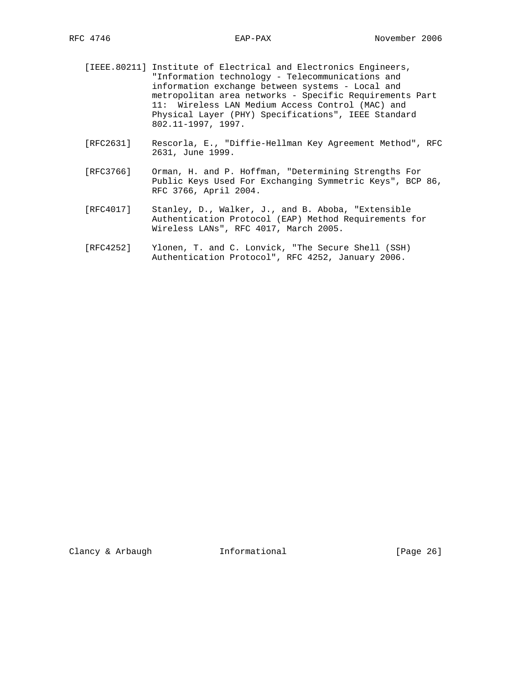- [IEEE.80211] Institute of Electrical and Electronics Engineers, "Information technology - Telecommunications and information exchange between systems - Local and metropolitan area networks - Specific Requirements Part 11: Wireless LAN Medium Access Control (MAC) and Physical Layer (PHY) Specifications", IEEE Standard 802.11-1997, 1997.
- [RFC2631] Rescorla, E., "Diffie-Hellman Key Agreement Method", RFC 2631, June 1999.
- [RFC3766] Orman, H. and P. Hoffman, "Determining Strengths For Public Keys Used For Exchanging Symmetric Keys", BCP 86, RFC 3766, April 2004.
- [RFC4017] Stanley, D., Walker, J., and B. Aboba, "Extensible Authentication Protocol (EAP) Method Requirements for Wireless LANs", RFC 4017, March 2005.
- [RFC4252] Ylonen, T. and C. Lonvick, "The Secure Shell (SSH) Authentication Protocol", RFC 4252, January 2006.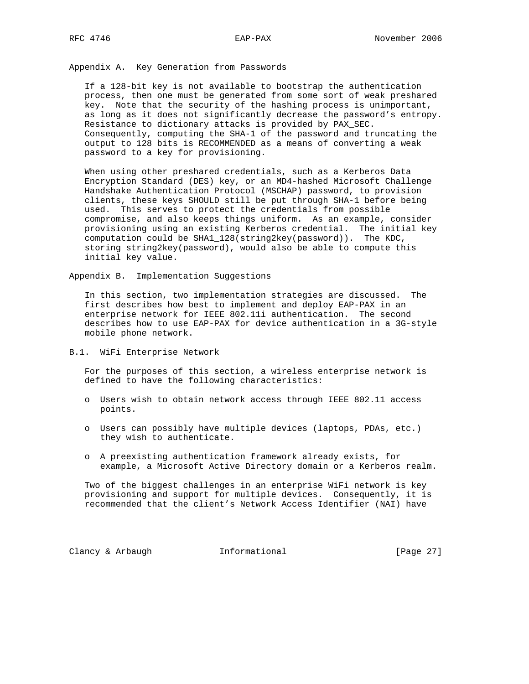Appendix A. Key Generation from Passwords

 If a 128-bit key is not available to bootstrap the authentication process, then one must be generated from some sort of weak preshared key. Note that the security of the hashing process is unimportant, as long as it does not significantly decrease the password's entropy. Resistance to dictionary attacks is provided by PAX\_SEC. Consequently, computing the SHA-1 of the password and truncating the output to 128 bits is RECOMMENDED as a means of converting a weak password to a key for provisioning.

 When using other preshared credentials, such as a Kerberos Data Encryption Standard (DES) key, or an MD4-hashed Microsoft Challenge Handshake Authentication Protocol (MSCHAP) password, to provision clients, these keys SHOULD still be put through SHA-1 before being used. This serves to protect the credentials from possible compromise, and also keeps things uniform. As an example, consider provisioning using an existing Kerberos credential. The initial key computation could be SHA1\_128(string2key(password)). The KDC, storing string2key(password), would also be able to compute this initial key value.

Appendix B. Implementation Suggestions

 In this section, two implementation strategies are discussed. The first describes how best to implement and deploy EAP-PAX in an enterprise network for IEEE 802.11i authentication. The second describes how to use EAP-PAX for device authentication in a 3G-style mobile phone network.

#### B.1. WiFi Enterprise Network

 For the purposes of this section, a wireless enterprise network is defined to have the following characteristics:

- o Users wish to obtain network access through IEEE 802.11 access points.
- o Users can possibly have multiple devices (laptops, PDAs, etc.) they wish to authenticate.
- o A preexisting authentication framework already exists, for example, a Microsoft Active Directory domain or a Kerberos realm.

 Two of the biggest challenges in an enterprise WiFi network is key provisioning and support for multiple devices. Consequently, it is recommended that the client's Network Access Identifier (NAI) have

Clancy & Arbaugh Theormational [Page 27]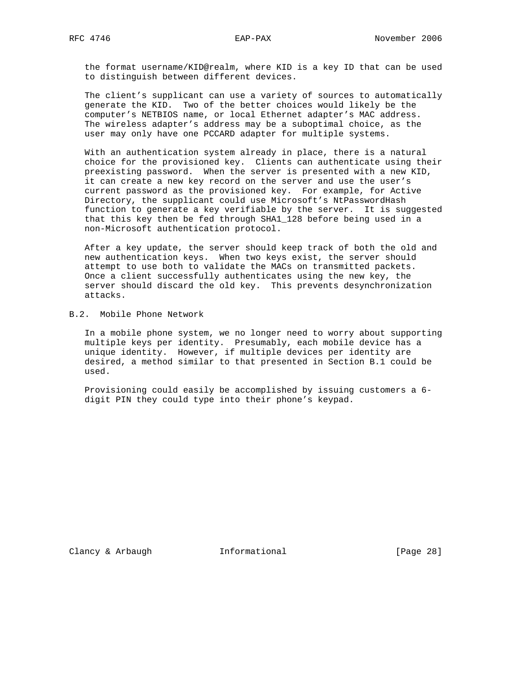the format username/KID@realm, where KID is a key ID that can be used to distinguish between different devices.

 The client's supplicant can use a variety of sources to automatically generate the KID. Two of the better choices would likely be the computer's NETBIOS name, or local Ethernet adapter's MAC address. The wireless adapter's address may be a suboptimal choice, as the user may only have one PCCARD adapter for multiple systems.

 With an authentication system already in place, there is a natural choice for the provisioned key. Clients can authenticate using their preexisting password. When the server is presented with a new KID, it can create a new key record on the server and use the user's current password as the provisioned key. For example, for Active Directory, the supplicant could use Microsoft's NtPasswordHash function to generate a key verifiable by the server. It is suggested that this key then be fed through SHA1\_128 before being used in a non-Microsoft authentication protocol.

 After a key update, the server should keep track of both the old and new authentication keys. When two keys exist, the server should attempt to use both to validate the MACs on transmitted packets. Once a client successfully authenticates using the new key, the server should discard the old key. This prevents desynchronization attacks.

B.2. Mobile Phone Network

 In a mobile phone system, we no longer need to worry about supporting multiple keys per identity. Presumably, each mobile device has a unique identity. However, if multiple devices per identity are desired, a method similar to that presented in Section B.1 could be used.

 Provisioning could easily be accomplished by issuing customers a 6 digit PIN they could type into their phone's keypad.

Clancy & Arbaugh **Informational** [Page 28]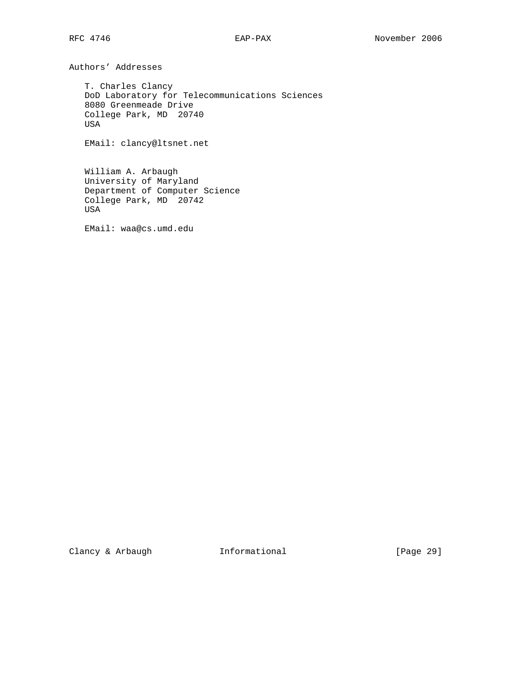Authors' Addresses

 T. Charles Clancy DoD Laboratory for Telecommunications Sciences 8080 Greenmeade Drive College Park, MD 20740 USA

EMail: clancy@ltsnet.net

 William A. Arbaugh University of Maryland Department of Computer Science College Park, MD 20742 USA

EMail: waa@cs.umd.edu